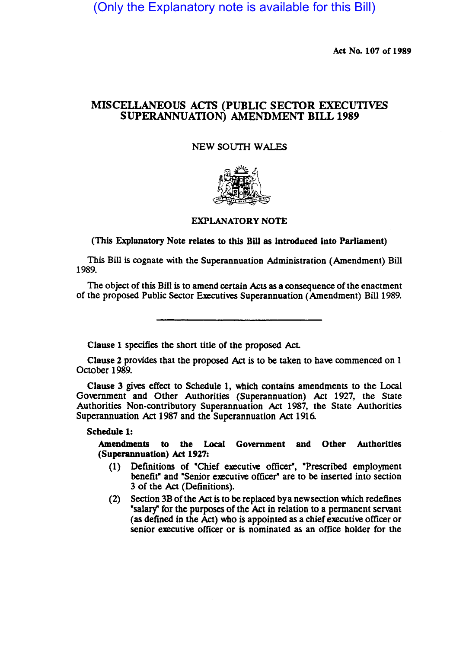(Only the Explanatory note is available for this Bill)

Act No. 107 of 1989

# MISCELLANEOUS ACTS (PUBLIC SECTOR EXECUTIVES SUPERANNUATION) AMENDMENT BILL 1989

#### NEW SOUTH WALES



#### EXPLANATORY NOTE

(This Explanatory Note relates to this Bill as Introduced Into Parliament)

This Bill is cognate with the Superannuation Administration (Amendment) Bill 1989.

The Object of this Bill is to amend certain Acts as a consequence of the enactment of the proposed Public Sector Executives Superannuation (Amendment) Bill 1989.

Clause 1 specifies the short title of the proposed Act.

Clause 2 provides that the proposed Act is to be taken to have commenced on 1 October 1989.

Clause 3 gives effect to Schedule 1, which contains amendments to the Local Government and Other Authorities (Superannuation) Act 1927, the State Authorities Non-contributory Superannuation Act 1987, the State Authorities Superannuation Act 1987 and the Superannuation Act 1916.

Schedule 1:

Amendments to the Local Government and Other Authorities (Superannuation) Act 1927:

- (1) Definitions of "Chief executive officer", "Prescribed employment benefit" and "Senior executive officer" are to be inserted into section 3 of the Act (Definitions).
- (2) Section 3B of the Act is to be replaced bya new section which redefines ·salary" for the purposes of the Act in relation to a permanent servant (as defined in the Act) who is appointed as a chief executive officer or senior executive officer or is nominated as an office holder for the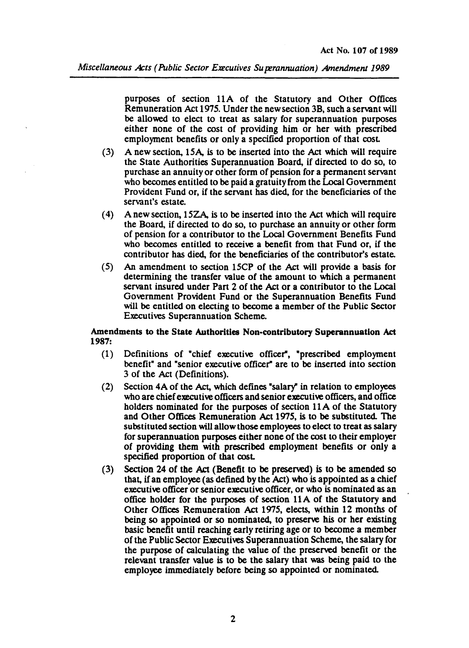*Miscellaneous Acts (Public Sector Executives Superannuation) Amendment 1989* 

purposes of section 11A of the Statutory and Other Offices Remuneration Act 1975. Under the new section 3B, such a servant will be allowed to elect to treat as salary for superannuation purposes either none of the cost of providing him or her with prescribed employment benefits or only a specified proportion of that cost.

- (3) A new section, 15A, is to be insened into the Act which will require the State Authorities Superannuation Board, if directed to do so, to purchase an annuity or other form of pension for a permanent servant who becomes entitled to be paid a gratuity from the Local Government Provident Fund or, if the servant has died, for the beneficiaries of the servant's estate.
- (4) A new section, 15ZA, is to be inserted into the Act which will require the Board, if directed to do so, to purchase an annuity or other form of pension for a contributor to the Local Government Benefits Fund who becomes entitled to receive a benefit from that Fund or, if the contributor has died, for the beneficiaries of the contributor's estate.
- (5) An amendment to section 15CP of the Act will provide a basis for determining the transfer value of the amount to which a permanent servant insured under Part 2 of the Act or a contributor to the Local Government Provident Fund or the Superannuation Benefits Fund will be entitled on electing to become a member of the Public Sector Executives Superannuation Scheme.

### Amendments to the State Authorities Non-contributory Superannuation Act 1987:

- (1) Definitions of "chief executive officer", "prescribed employment benefit" and "senior executive officer" are to be insened into section 3 of the Act (Definitions).
- (2) Section 4A of the Act, which defines "salary" in relation to employees who are chief executive officers and senior executive officers, and office holders nominated for the purposes of section 11 A of the Statutory and Other Offices Remuneration Act 1975, is to be substituted. The substituted section will allow those employees to elect to treat as salary for superannuation purposes either none of the cost to their employer of providing them with prescribed employment benefits or only a specified proportion of that cost.
- (3) Section 24 of the Act (Benefit to be preserved) is to be amended so that, if an employee (as defined by the Act) who is appointed as a chief executive officer or senior executive officer, or who is nominated as an office holder for the purposes of section 11 A of the Statutory and Other Offices Remuneration Act 1975, elects, within 12 months of being so appointed or so nominated, to preserve his or her existing basic benefit until reaching early retiring age or to become a member of the Public Sector Executives Superannuation Scheme, the salary for the purpose of calculating the value of the preserved benefit or the relevant transfer value is to be the salary that was being paid to the employee immediately before being so appointed or nominated.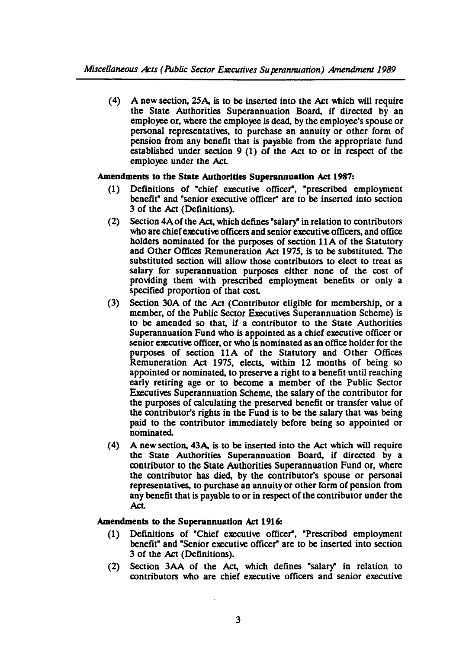(4) A new section, 25A, is to be inserted into the Act which will require the State Authorities Superannuation Board, if directed by an employee or, where the employee is dead, by the employee's spouse or personal representatives, to purchase an annuity or other form of pension from any benefit that is payable from the appropriate fund established under section 9 (1) of the Act to or in respect of the employee under the Act

# Amendments to the State Authorities Superannuation Act 1987:

- (1) Definitions of "chief executive officer", "prescribed employment benefit" and "senior executive officer" are to be insened into section 3 of the Act (Definitions).
- (2) Section 4Aofthe Act, which defines "salarY' in relation to contributors who are chief executive officers and senior executive officers, and office holders nominated for the purposes of section 11A of the Statutory and Other Offices Remuneration Act 1975, is to be substituted. The substituted section will allow those contributors to elect to treat as salary for superannuation purposes either none of the cost of providing them with prescribed employment benefits or only a specified proportion of that cost.
- (3) Section 30A of the Act (Contributor eligible for membership, or a member, of the Public Sector Executives Superannuation Scheme) is to be amended so that, if a contributor to the State Authorities Superannuation Fund who is appointed as a chief executive officer or senior executive officer, or who is nominated as an office holder for the purposes of section 11A of the Statutory and Other Offices Remuneration Act 1975, elects, within 12 months of being so appointed or nominated, to preserve a right to a benefit until reaching early retiring age or to become a member of the Public Sector Executives Superannuation Scheme, the salary of the contributor for the purposes of calculating the preserved benefit or transfer value of the contributor's rights in the Fund is to be the salary that was being paid to the contributor immediately before being so appointed or nominated.
- (4) A new section, 43A, is to be insened into the Act which will require the State Authorities Superannuation Board, if directed by a contributor to the State Authorities Superannuation Fund or, where the contributor has died, by the contributor's spouse or personal representatives, to purchase an annuity or other form of pension from any benefit that is payable to or in respect of the contributor under the **Act**

# Amendments to the Superannuation Act 1916:

- (1) Defmitions of ·Chief executive officer", "Prescribed employment benefit" and "Senior executive officer" are to be inserted into section 3 of the Act (Definitions).
- (2) Section 3AA of the Act, which defines "salarY' in relation to contributors who are chief executive officers and senior executive